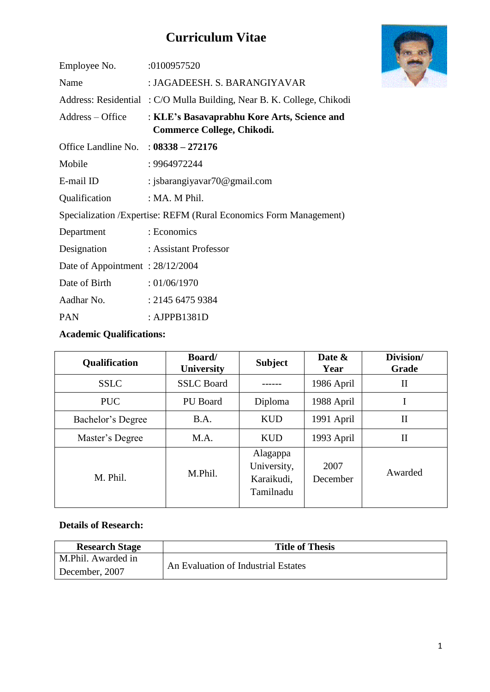# **Curriculum Vitae**

| Employee No.                                                       | :0100957520                                                                      |  |
|--------------------------------------------------------------------|----------------------------------------------------------------------------------|--|
| Name                                                               | : JAGADEESH. S. BARANGIYAVAR                                                     |  |
|                                                                    | Address: Residential: C/O Mulla Building, Near B. K. College, Chikodi            |  |
| Address – Office                                                   | : KLE's Basavaprabhu Kore Arts, Science and<br><b>Commerce College, Chikodi.</b> |  |
| Office Landline No. : $08338 - 272176$                             |                                                                                  |  |
| Mobile                                                             | : 9964972244                                                                     |  |
| E-mail ID                                                          | : jsbarangiyavar $70@$ gmail.com                                                 |  |
| Qualification                                                      | : MA. M Phil.                                                                    |  |
| Specialization / Expertise: REFM (Rural Economics Form Management) |                                                                                  |  |
| Department                                                         | : Economics                                                                      |  |
| Designation                                                        | : Assistant Professor                                                            |  |
| Date of Appointment: 28/12/2004                                    |                                                                                  |  |
| Date of Birth                                                      | : 01/06/1970                                                                     |  |
| Aadhar No.                                                         | : 2145 6475 9384                                                                 |  |
| <b>PAN</b>                                                         | : AJPPB1381D                                                                     |  |

### **Academic Qualifications:**

| Qualification     | <b>Board</b> /<br><b>University</b> | <b>Subject</b>                                     | Date &<br>Year   | Division/<br>Grade |
|-------------------|-------------------------------------|----------------------------------------------------|------------------|--------------------|
| <b>SSLC</b>       | <b>SSLC</b> Board                   |                                                    | 1986 April       | П                  |
| <b>PUC</b>        | <b>PU</b> Board                     | Diploma                                            | 1988 April       |                    |
| Bachelor's Degree | B.A.                                | <b>KUD</b>                                         | 1991 April       | $\mathbf{I}$       |
| Master's Degree   | M.A.                                | <b>KUD</b>                                         | 1993 April       | $\mathbf{I}$       |
| M. Phil.          | M.Phil.                             | Alagappa<br>University,<br>Karaikudi,<br>Tamilnadu | 2007<br>December | Awarded            |

#### **Details of Research:**

| <b>Research Stage</b> | <b>Title of Thesis</b>              |
|-----------------------|-------------------------------------|
| M.Phil. Awarded in    |                                     |
| December, 2007        | An Evaluation of Industrial Estates |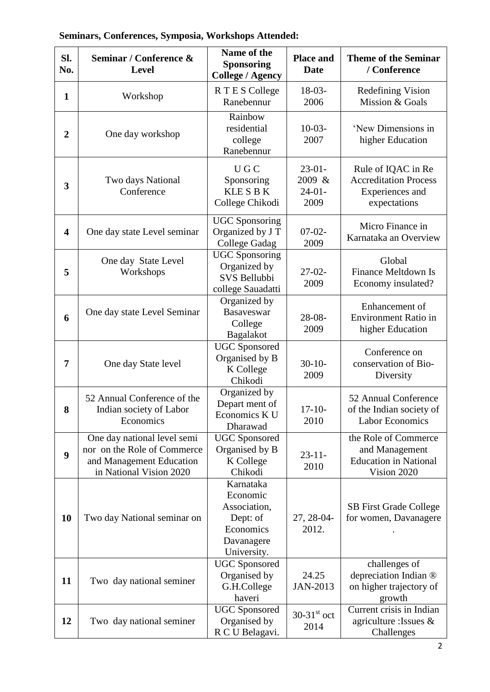| SI.<br>No.              | Seminar / Conference &<br><b>Level</b>                                                                            | Name of the<br><b>Sponsoring</b><br><b>College / Agency</b>                                 | <b>Place and</b><br><b>Date</b>        | <b>Theme of the Seminar</b><br>/ Conference                                           |
|-------------------------|-------------------------------------------------------------------------------------------------------------------|---------------------------------------------------------------------------------------------|----------------------------------------|---------------------------------------------------------------------------------------|
| $\mathbf{1}$            | Workshop                                                                                                          | R T E S College<br>Ranebennur                                                               | $18-03-$<br>2006                       | <b>Redefining Vision</b><br>Mission & Goals                                           |
| $\boldsymbol{2}$        | One day workshop                                                                                                  | Rainbow<br>residential<br>college<br>Ranebennur                                             | $10-03-$<br>2007                       | 'New Dimensions in<br>higher Education                                                |
| 3                       | Two days National<br>Conference                                                                                   | U G C<br>Sponsoring<br><b>KLESBK</b><br>College Chikodi                                     | $23-01-$<br>2009 &<br>$24-01-$<br>2009 | Rule of IQAC in Re<br><b>Accreditation Process</b><br>Experiences and<br>expectations |
| $\overline{\mathbf{4}}$ | One day state Level seminar                                                                                       | <b>UGC Sponsoring</b><br>Organized by J T<br>College Gadag                                  | $07-02-$<br>2009                       | Micro Finance in<br>Karnataka an Overview                                             |
| 5                       | One day State Level<br>Workshops                                                                                  | <b>UGC</b> Sponsoring<br>Organized by<br>SVS Bellubbi<br>college Sauadatti                  | $27-02-$<br>2009                       | Global<br><b>Finance Meltdown Is</b><br>Economy insulated?                            |
| 6                       | One day state Level Seminar                                                                                       | Organized by<br><b>Basaveswar</b><br>College<br>Bagalakot                                   | $28 - 08 -$<br>2009                    | Enhancement of<br><b>Environment Ratio in</b><br>higher Education                     |
| 7                       | One day State level                                                                                               | <b>UGC</b> Sponsored<br>Organised by B<br>K College<br>Chikodi                              | $30-10-$<br>2009                       | Conference on<br>conservation of Bio-<br>Diversity                                    |
| 8                       | 52 Annual Conference of the<br>Indian society of Labor<br>Economics                                               | Organized by<br>Depart ment of<br>Economics K U<br>Dharawad                                 | $17-10-$<br>2010                       | 52 Annual Conference<br>of the Indian society of<br><b>Labor Economics</b>            |
| 9                       | One day national level semi<br>nor on the Role of Commerce<br>and Management Education<br>in National Vision 2020 | <b>UGC</b> Sponsored<br>Organised by B<br>K College<br>Chikodi                              | $23 - 11$<br>2010                      | the Role of Commerce<br>and Management<br><b>Education in National</b><br>Vision 2020 |
| 10                      | Two day National seminar on                                                                                       | Karnataka<br>Economic<br>Association,<br>Dept: of<br>Economics<br>Davanagere<br>University. | 27, 28-04-<br>2012.                    | <b>SB</b> First Grade College<br>for women, Davanagere                                |
| 11                      | Two day national seminer                                                                                          | <b>UGC</b> Sponsored<br>Organised by<br>G.H.College<br>haveri                               | 24.25<br>JAN-2013                      | challenges of<br>depreciation Indian ®<br>on higher trajectory of<br>growth           |
| 12                      | Two day national seminer                                                                                          | <b>UGC</b> Sponsored<br>Organised by<br>R C U Belagavi.                                     | $30-31$ <sup>st</sup> oct<br>2014      | Current crisis in Indian<br>agriculture : Issues $\&$<br>Challenges                   |

# **Seminars, Conferences, Symposia, Workshops Attended:**